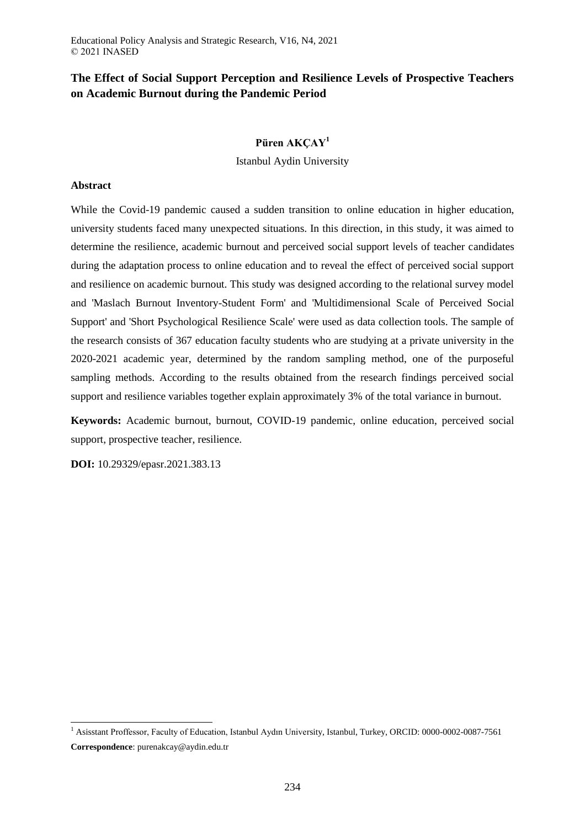# **The Effect of Social Support Perception and Resilience Levels of Prospective Teachers on Academic Burnout during the Pandemic Period**

## **Püren AKÇAY<sup>1</sup>**

Istanbul Aydin University

## **Abstract**

While the Covid-19 pandemic caused a sudden transition to online education in higher education, university students faced many unexpected situations. In this direction, in this study, it was aimed to determine the resilience, academic burnout and perceived social support levels of teacher candidates during the adaptation process to online education and to reveal the effect of perceived social support and resilience on academic burnout. This study was designed according to the relational survey model and 'Maslach Burnout Inventory-Student Form' and 'Multidimensional Scale of Perceived Social Support' and 'Short Psychological Resilience Scale' were used as data collection tools. The sample of the research consists of 367 education faculty students who are studying at a private university in the 2020-2021 academic year, determined by the random sampling method, one of the purposeful sampling methods. According to the results obtained from the research findings perceived social support and resilience variables together explain approximately 3% of the total variance in burnout.

**Keywords:** Academic burnout, burnout, COVID-19 pandemic, online education, perceived social support, prospective teacher, resilience.

**DOI:** 10.29329/epasr.2021.383.13

 $\overline{\phantom{a}}$ 

<sup>1</sup> Asisstant Proffessor, Faculty of Education, Istanbul Aydın University, Istanbul, Turkey, ORCID: 0000-0002-0087-7561 **Correspondence**: purenakcay@aydin.edu.tr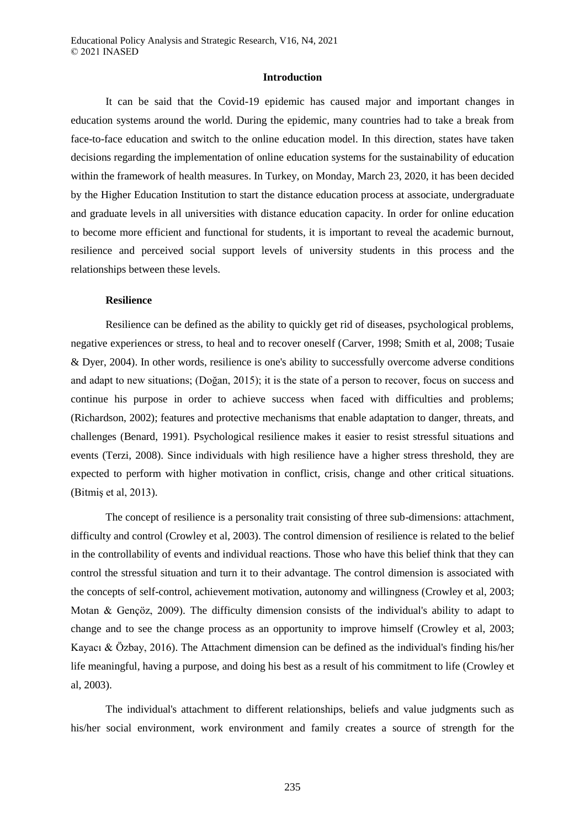#### **Introduction**

It can be said that the Covid-19 epidemic has caused major and important changes in education systems around the world. During the epidemic, many countries had to take a break from face-to-face education and switch to the online education model. In this direction, states have taken decisions regarding the implementation of online education systems for the sustainability of education within the framework of health measures. In Turkey, on Monday, March 23, 2020, it has been decided by the Higher Education Institution to start the distance education process at associate, undergraduate and graduate levels in all universities with distance education capacity. In order for online education to become more efficient and functional for students, it is important to reveal the academic burnout, resilience and perceived social support levels of university students in this process and the relationships between these levels.

## **Resilience**

Resilience can be defined as the ability to quickly get rid of diseases, psychological problems, negative experiences or stress, to heal and to recover oneself [\(Carver, 1998;](#page-14-0) [Smith et al, 2008;](#page-18-0) [Tusaie](#page-19-0)  [& Dyer, 2004\)](#page-19-0). In other words, resilience is one's ability to successfully overcome adverse conditions and adapt to new situations; (Doğan, 2015); it is the state of a person to recover, focus on success and continue his purpose in order to achieve success when faced with difficulties and problems; [\(Richardson, 2002\)](#page-17-0); features and protective mechanisms that enable adaptation to danger, threats, and challenges [\(Benard, 1991\)](#page-14-1). Psychological resilience makes it easier to resist stressful situations and events [\(Terzi, 2008\)](#page-19-1). Since individuals with high resilience have a higher stress threshold, they are expected to perform with higher motivation in conflict, crisis, change and other critical situations. [\(Bitmiş et al, 2013\)](#page-14-2).

The concept of resilience is a personality trait consisting of three sub-dimensions: attachment, difficulty and control [\(Crowley et al, 2003\)](#page-15-0). The control dimension of resilience is related to the belief in the controllability of events and individual reactions. Those who have this belief think that they can control the stressful situation and turn it to their advantage. The control dimension is associated with the concepts of self-control, achievement motivation, autonomy and willingness [\(Crowley et al, 2003;](#page-15-0) [Motan & Gençöz, 2009\)](#page-17-1). The difficulty dimension consists of the individual's ability to adapt to change and to see the change process as an opportunity to improve himself [\(Crowley et al, 2003;](#page-15-0) [Kayacı & Özbay, 2016\)](#page-17-2). The Attachment dimension can be defined as the individual's finding his/her life meaningful, having a purpose, and doing his best as a result of his commitment to life [\(Crowley et](#page-15-0)  [al, 2003\)](#page-15-0).

The individual's attachment to different relationships, beliefs and value judgments such as his/her social environment, work environment and family creates a source of strength for the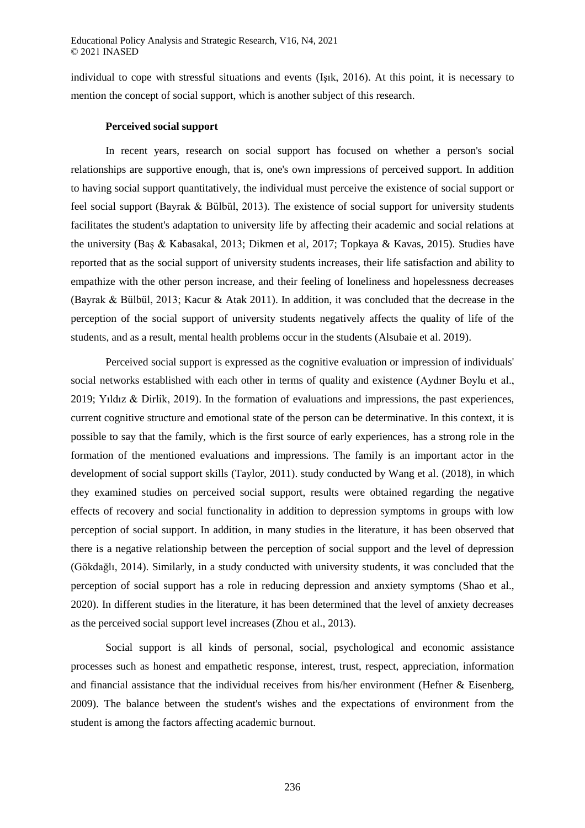individual to cope with stressful situations and events [\(Işık, 2016\)](#page-16-0). At this point, it is necessary to mention the concept of social support, which is another subject of this research.

## **Perceived social support**

In recent years, research on social support has focused on whether a person's social relationships are supportive enough, that is, one's own impressions of perceived support. In addition to having social support quantitatively, the individual must perceive the existence of social support or feel social support [\(Bayrak & Bülbül, 2013\)](#page-14-3). The existence of social support for university students facilitates the student's adaptation to university life by affecting their academic and social relations at the university [\(Baş & Kabasakal, 2013;](#page-14-4) [Dikmen et al, 2017;](#page-15-1) [Topkaya & Kavas, 2015\)](#page-19-2). Studies have reported that as the social support of university students increases, their life satisfaction and ability to empathize with the other person increase, and their feeling of loneliness and hopelessness decreases [\(Bayrak & Bülbül, 2013;](#page-14-3) [Kacur & Atak 2011\)](#page-17-3). In addition, it was concluded that the decrease in the perception of the social support of university students negatively affects the quality of life of the students, and as a result, mental health problems occur in the students [\(Alsubaie et al. 2019\)](#page-13-0).

Perceived social support is expressed as the cognitive evaluation or impression of individuals' social networks established with each other in terms of quality and existence [\(Aydıner Boylu et al.,](#page-13-1)  [2019;](#page-13-1) [Yıldız & Dirlik, 2019\)](#page-19-3). In the formation of evaluations and impressions, the past experiences, current cognitive structure and emotional state of the person can be determinative. In this context, it is possible to say that the family, which is the first source of early experiences, has a strong role in the formation of the mentioned evaluations and impressions. The family is an important actor in the development of social support skills [\(Taylor, 2011\)](#page-19-4). study conducted by Wang et al. [\(2018\)](#page-19-5), in which they examined studies on perceived social support, results were obtained regarding the negative effects of recovery and social functionality in addition to depression symptoms in groups with low perception of social support. In addition, in many studies in the literature, it has been observed that there is a negative relationship between the perception of social support and the level of depression [\(Gökdağlı, 2014\)](#page-16-1). Similarly, in a study conducted with university students, it was concluded that the perception of social support has a role in reducing depression and anxiety symptoms [\(Shao et al.,](#page-18-1)  [2020\)](#page-18-1). In different studies in the literature, it has been determined that the level of anxiety decreases as the perceived social support level increases [\(Zhou et al., 2013\)](#page-20-0).

<span id="page-2-0"></span>Social support is all kinds of personal, social, psychological and economic assistance processes such as honest and empathetic response, interest, trust, respect, appreciation, information and financial assistance that the individual receives from his/her environment [\(Hefner & Eisenberg,](#page-16-2)  [2009\)](#page-16-2). The balance between the student's wishes and the expectations of environment from the student is among the factors affecting academic burnout.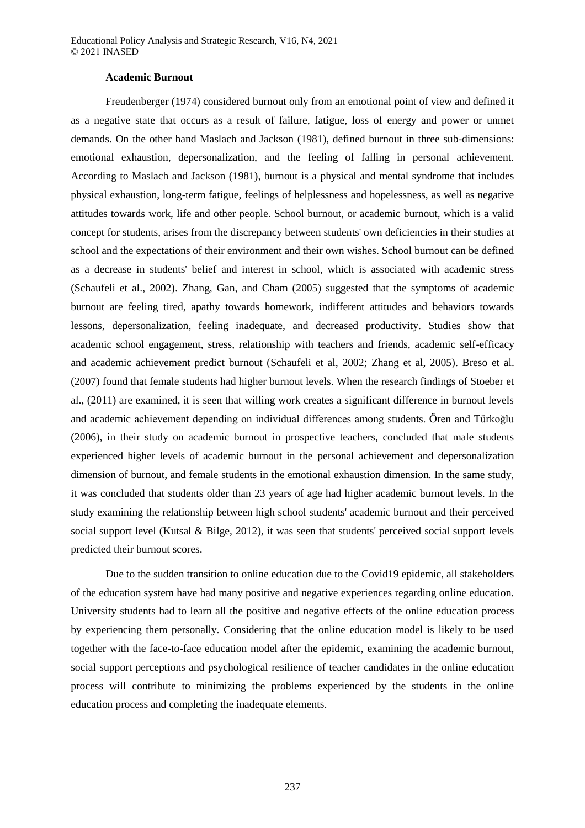#### **Academic Burnout**

Freudenberger [\(1974\)](#page-15-2) considered burnout only from an emotional point of view and defined it as a negative state that occurs as a result of failure, fatigue, loss of energy and power or unmet demands. On the other hand Maslach and Jackson [\(1981\)](#page-17-4), defined burnout in three sub-dimensions: emotional exhaustion, depersonalization, and the feeling of falling in personal achievement. According to Maslach and Jackson [\(1981\)](#page-17-4), burnout is a physical and mental syndrome that includes physical exhaustion, long-term fatigue, feelings of helplessness and hopelessness, as well as negative attitudes towards work, life and other people. School burnout, or academic burnout, which is a valid concept for students, arises from the discrepancy between students' own deficiencies in their studies at school and the expectations of their environment and their own wishes. School burnout can be defined as a decrease in students' belief and interest in school, which is associated with academic stress [\(Schaufeli et al., 2002\)](#page-18-2). Zhang, Gan, and Cham (2005) suggested that the symptoms of academic burnout are feeling tired, apathy towards homework, indifferent attitudes and behaviors towards lessons, depersonalization, feeling inadequate, and decreased productivity. Studies show that academic school engagement, stress, relationship with teachers and friends, academic self-efficacy and academic achievement predict burnout [\(Schaufeli et al, 2002;](#page-18-2) Zhang et al, 2005). [Breso et al.](#page-14-5)  [\(2007\)](#page-14-5) found that female students had higher burnout levels. When the research findings of Stoeber et al., [\(2011\)](#page-18-3) are examined, it is seen that willing work creates a significant difference in burnout levels and academic achievement depending on individual differences among students. Ören and Türkoğlu [\(2006\)](#page-17-5), in their study on academic burnout in prospective teachers, concluded that male students experienced higher levels of academic burnout in the personal achievement and depersonalization dimension of burnout, and female students in the emotional exhaustion dimension. In the same study, it was concluded that students older than 23 years of age had higher academic burnout levels. In the study examining the relationship between high school students' academic burnout and their perceived social support level [\(Kutsal & Bilge, 2012\)](#page-17-6), it was seen that students' perceived social support levels predicted their burnout scores.

Due to the sudden transition to online education due to the Covid19 epidemic, all stakeholders of the education system have had many positive and negative experiences regarding online education. University students had to learn all the positive and negative effects of the online education process by experiencing them personally. Considering that the online education model is likely to be used together with the face-to-face education model after the epidemic, examining the academic burnout, social support perceptions and psychological resilience of teacher candidates in the online education process will contribute to minimizing the problems experienced by the students in the online education process and completing the inadequate elements.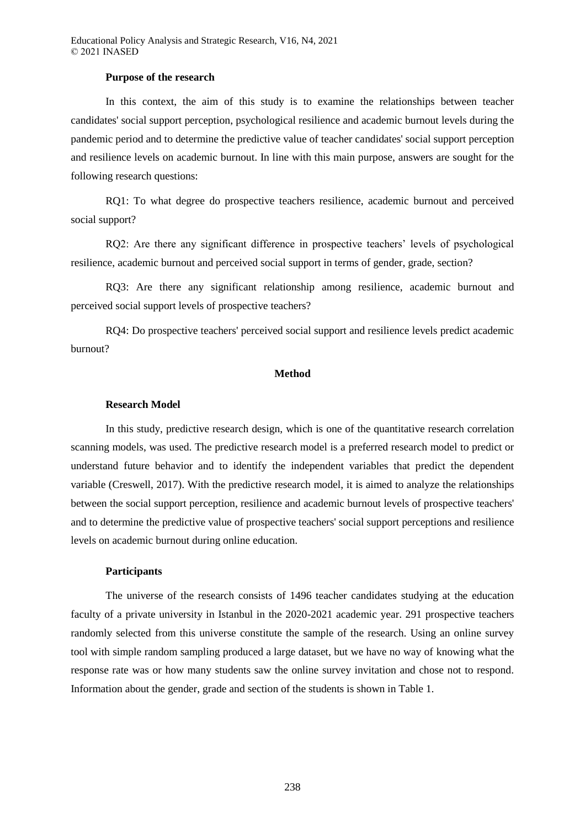#### **Purpose of the research**

In this context, the aim of this study is to examine the relationships between teacher candidates' social support perception, psychological resilience and academic burnout levels during the pandemic period and to determine the predictive value of teacher candidates' social support perception and resilience levels on academic burnout. In line with this main purpose, answers are sought for the following research questions:

RQ1: To what degree do prospective teachers resilience, academic burnout and perceived social support?

RQ2: Are there any significant difference in prospective teachers' levels of psychological resilience, academic burnout and perceived social support in terms of gender, grade, section?

RQ3: Are there any significant relationship among resilience, academic burnout and perceived social support levels of prospective teachers?

RQ4: Do prospective teachers' perceived social support and resilience levels predict academic burnout?

## **Method**

#### **Research Model**

In this study, predictive research design, which is one of the quantitative research correlation scanning models, was used. The predictive research model is a preferred research model to predict or understand future behavior and to identify the independent variables that predict the dependent variable [\(Creswell, 2017\)](#page-15-3). With the predictive research model, it is aimed to analyze the relationships between the social support perception, resilience and academic burnout levels of prospective teachers' and to determine the predictive value of prospective teachers' social support perceptions and resilience levels on academic burnout during online education.

#### **Participants**

The universe of the research consists of 1496 teacher candidates studying at the education faculty of a private university in Istanbul in the 2020-2021 academic year. 291 prospective teachers randomly selected from this universe constitute the sample of the research. Using an online survey tool with simple random sampling produced a large dataset, but we have no way of knowing what the response rate was or how many students saw the online survey invitation and chose not to respond. Information about the gender, grade and section of the students is shown in Table 1.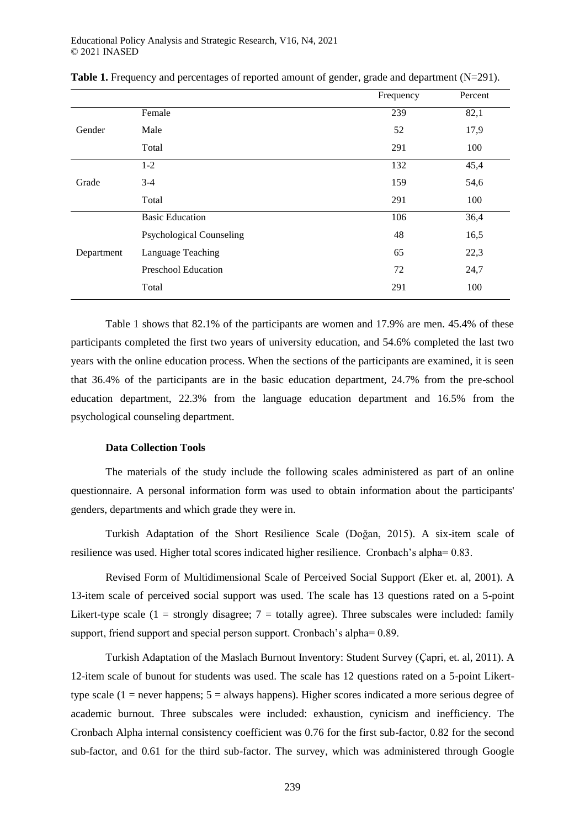|            |                                 | Frequency | Percent |
|------------|---------------------------------|-----------|---------|
|            | Female                          | 239       | 82,1    |
| Gender     | Male                            | 52        | 17,9    |
|            | Total                           | 291       | 100     |
|            | $1 - 2$                         | 132       | 45,4    |
| Grade      | $3 - 4$                         | 159       | 54,6    |
|            | Total                           | 291       | 100     |
|            | <b>Basic Education</b>          | 106       | 36,4    |
|            | <b>Psychological Counseling</b> | 48        | 16,5    |
| Department | Language Teaching               | 65        | 22,3    |
|            | <b>Preschool Education</b>      | 72        | 24,7    |
|            | Total                           | 291       | 100     |

**Table 1.** Frequency and percentages of reported amount of gender, grade and department (N=291).

Table 1 shows that 82.1% of the participants are women and 17.9% are men. 45.4% of these participants completed the first two years of university education, and 54.6% completed the last two years with the online education process. When the sections of the participants are examined, it is seen that 36.4% of the participants are in the basic education department, 24.7% from the pre-school education department, 22.3% from the language education department and 16.5% from the psychological counseling department.

## <span id="page-5-0"></span>**Data Collection Tools**

The materials of the study include the following scales administered as part of an online questionnaire. A personal information form was used to obtain information about the participants' genders, departments and which grade they were in.

Turkish Adaptation of the Short Resilience Scale [\(Doğan, 2015\)](#page-5-0). A six-item scale of resilience was used. Higher total scores indicated higher resilience. Cronbach's alpha= 0.83.

Revised Form of Multidimensional Scale of Perceived Social Support *(*[Eker et. al, 2001\)](#page-15-4). A 13-item scale of perceived social support was used. The scale has 13 questions rated on a 5-point Likert-type scale  $(1 =$  strongly disagree;  $7 =$  totally agree). Three subscales were included: family support, friend support and special person support. Cronbach's alpha= 0.89.

Turkish Adaptation of the Maslach Burnout Inventory: Student Survey [\(Çapri, et. al, 2011\)](#page-15-5). A 12-item scale of bunout for students was used. The scale has 12 questions rated on a 5-point Likerttype scale  $(1 =$  never happens;  $5 =$  always happens). Higher scores indicated a more serious degree of academic burnout. Three subscales were included: exhaustion, cynicism and inefficiency. The Cronbach Alpha internal consistency coefficient was 0.76 for the first sub-factor, 0.82 for the second sub-factor, and 0.61 for the third sub-factor. The survey, which was administered through Google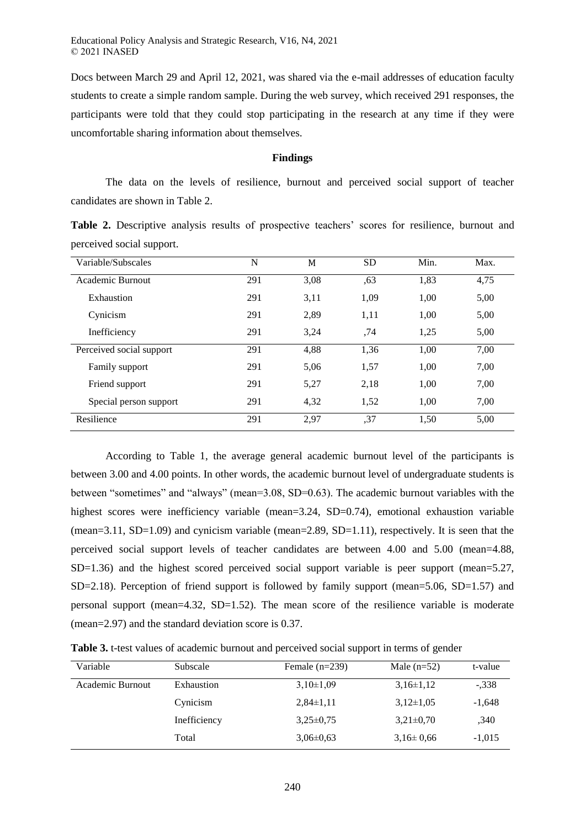Educational Policy Analysis and Strategic Research, V16, N4, 2021 © 2021 INASED

Docs between March 29 and April 12, 2021, was shared via the e-mail addresses of education faculty students to create a simple random sample. During the web survey, which received 291 responses, the participants were told that they could stop participating in the research at any time if they were uncomfortable sharing information about themselves.

## **Findings**

The data on the levels of resilience, burnout and perceived social support of teacher candidates are shown in Table 2.

**Table 2.** Descriptive analysis results of prospective teachers' scores for resilience, burnout and perceived social support.

| Variable/Subscales       | N   | M    | <b>SD</b> | Min. | Max. |
|--------------------------|-----|------|-----------|------|------|
| Academic Burnout         | 291 | 3,08 | ,63       | 1,83 | 4,75 |
| Exhaustion               | 291 | 3,11 | 1,09      | 1,00 | 5,00 |
| Cynicism                 | 291 | 2,89 | 1,11      | 1,00 | 5,00 |
| Inefficiency             | 291 | 3,24 | .74       | 1,25 | 5,00 |
| Perceived social support | 291 | 4,88 | 1,36      | 1,00 | 7,00 |
| Family support           | 291 | 5,06 | 1,57      | 1,00 | 7,00 |
| Friend support           | 291 | 5,27 | 2,18      | 1,00 | 7,00 |
| Special person support   | 291 | 4,32 | 1,52      | 1,00 | 7,00 |
| Resilience               | 291 | 2.97 | ,37       | 1,50 | 5,00 |

According to Table 1, the average general academic burnout level of the participants is between 3.00 and 4.00 points. In other words, the academic burnout level of undergraduate students is between "sometimes" and "always" (mean=3.08, SD=0.63). The academic burnout variables with the highest scores were inefficiency variable (mean=3.24, SD=0.74), emotional exhaustion variable (mean=3.11, SD=1.09) and cynicism variable (mean=2.89, SD=1.11), respectively. It is seen that the perceived social support levels of teacher candidates are between 4.00 and 5.00 (mean=4.88, SD=1.36) and the highest scored perceived social support variable is peer support (mean=5.27, SD=2.18). Perception of friend support is followed by family support (mean=5.06, SD=1.57) and personal support (mean=4.32, SD=1.52). The mean score of the resilience variable is moderate (mean=2.97) and the standard deviation score is 0.37.

**Table 3.** t-test values of academic burnout and perceived social support in terms of gender

| Variable         | Subscale     | Female $(n=239)$ | Male $(n=52)$   | t-value  |
|------------------|--------------|------------------|-----------------|----------|
| Academic Burnout | Exhaustion   | $3,10\pm1,09$    | $3,16\pm1,12$   | $-.338$  |
|                  | Cynicism     | $2,84\pm1,11$    | $3,12\pm1,05$   | $-1,648$ |
|                  | Inefficiency | $3,25\pm0.75$    | $3,21\pm0,70$   | ,340     |
|                  | Total        | $3.06 \pm 0.63$  | $3,16 \pm 0.66$ | $-1,015$ |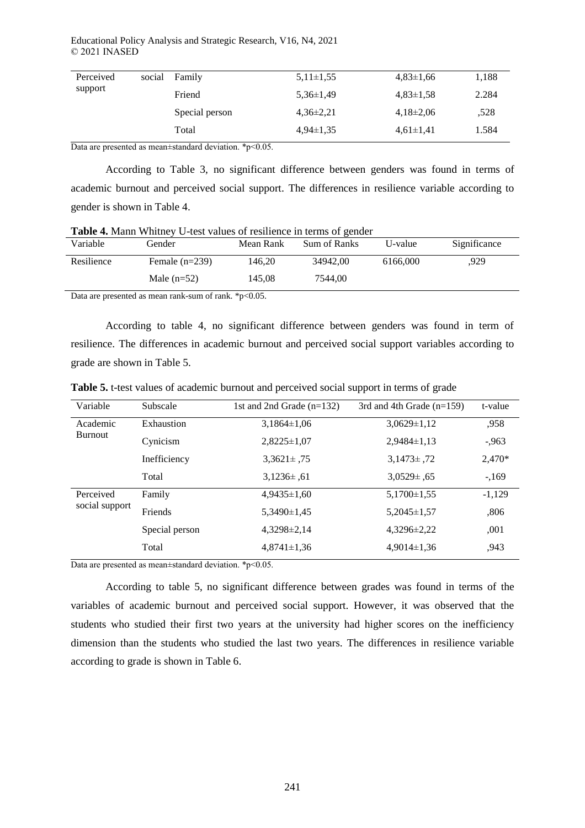Educational Policy Analysis and Strategic Research, V16, N4, 2021 © 2021 INASED

| Perceived | social | Family         | $5,11\pm1,55$ | $4,83\pm1,66$ | 1,188 |
|-----------|--------|----------------|---------------|---------------|-------|
| support   |        | Friend         | $5,36\pm1,49$ | $4,83\pm1,58$ | 2.284 |
|           |        | Special person | $4,36\pm2,21$ | $4,18\pm2,06$ | ,528  |
|           |        | Total          | $4,94\pm1,35$ | $4,61\pm1,41$ | 1.584 |

Data are presented as mean±standard deviation. \*p<0.05.

According to Table 3, no significant difference between genders was found in terms of academic burnout and perceived social support. The differences in resilience variable according to gender is shown in Table 4.

| Variable   | Gender           | Mean Rank | Sum of Ranks | U-value  | Significance |
|------------|------------------|-----------|--------------|----------|--------------|
| Resilience | Female $(n=239)$ | 146.20    | 34942.00     | 6166,000 | 929.         |
|            | Male $(n=52)$    | 145.08    | 7544.00      |          |              |
| $-$        |                  | _____     |              |          |              |

Data are presented as mean rank-sum of rank. \*p<0.05.

According to table 4, no significant difference between genders was found in term of resilience. The differences in academic burnout and perceived social support variables according to grade are shown in Table 5.

| Variable                   | Subscale       | 1st and 2nd Grade $(n=132)$ | 3rd and 4th Grade $(n=159)$ | t-value  |
|----------------------------|----------------|-----------------------------|-----------------------------|----------|
| Academic<br><b>Burnout</b> | Exhaustion     | $3,1864\pm1,06$             | $3,0629 \pm 1,12$           | ,958     |
|                            | Cynicism       | $2,8225\pm1,07$             | $2,9484\pm1,13$             | $-0.963$ |
|                            | Inefficiency   | $3,3621 \pm .75$            | $3,1473\pm.72$              | 2,470*   |
|                            | Total          | $3,1236\pm.61$              | $3,0529 \pm 0.65$           | $-169$   |
| Perceived                  | Family         | $4,9435 \pm 1,60$           | $5,1700 \pm 1,55$           | $-1,129$ |
| social support             | Friends        | $5,3490 \pm 1,45$           | $5,2045 \pm 1,57$           | ,806     |
|                            | Special person | $4,3298\pm2,14$             | $4,3296\pm2,22$             | ,001     |
|                            | Total          | $4,8741 \pm 1,36$           | $4,9014\pm1,36$             | .943     |

**Table 5.** t-test values of academic burnout and perceived social support in terms of grade

Data are presented as mean±standard deviation. \*p<0.05.

According to table 5, no significant difference between grades was found in terms of the variables of academic burnout and perceived social support. However, it was observed that the students who studied their first two years at the university had higher scores on the inefficiency dimension than the students who studied the last two years. The differences in resilience variable according to grade is shown in Table 6.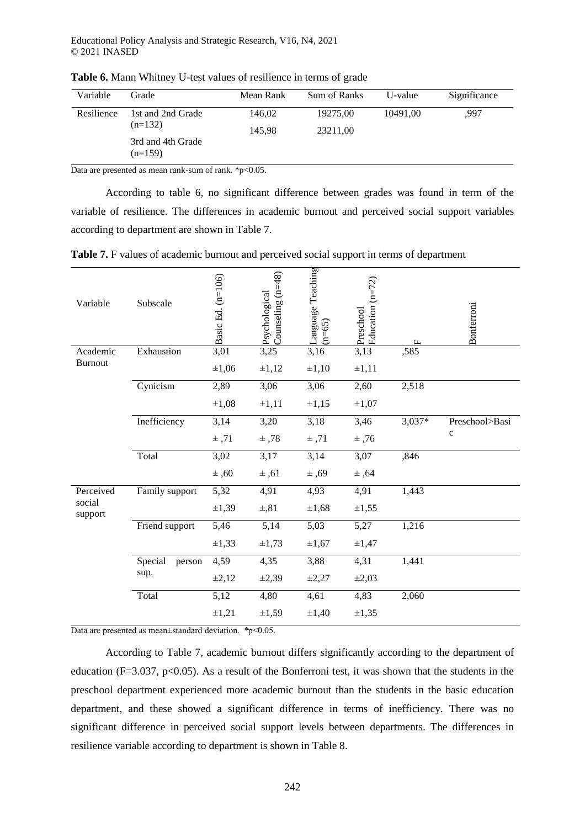| Variable   | Grade                                       | Mean Rank | Sum of Ranks | U-value  | Significance |
|------------|---------------------------------------------|-----------|--------------|----------|--------------|
| Resilience | 1st and 2nd Grade                           | 146.02    | 19275,00     | 10491.00 | .997         |
|            | $(n=132)$<br>3rd and 4th Grade<br>$(n=159)$ | 145.98    | 23211,00     |          |              |

**Table 6.** Mann Whitney U-test values of resilience in terms of grade

Data are presented as mean rank-sum of rank. \*p<0.05.

According to table 6, no significant difference between grades was found in term of the variable of resilience. The differences in academic burnout and perceived social support variables according to department are shown in Table 7.

**Table 7.** F values of academic burnout and perceived social support in terms of department

| Variable          | Subscale          | Basic Ed. (n=106) | Counseling $(n=48)$<br>Psychological | anguage Teaching<br>$(n=65)$ | Education $(n=72)$<br>Preschool | LL.      | Bonferroni     |
|-------------------|-------------------|-------------------|--------------------------------------|------------------------------|---------------------------------|----------|----------------|
| Academic          | Exhaustion        | 3,01              | 3,25                                 | 3,16                         | 3,13                            | ,585     |                |
| <b>Burnout</b>    |                   | $\pm 1,06$        | $\pm 1,12$                           | $\pm 1,10$                   | $\pm 1,11$                      |          |                |
|                   | Cynicism          | 2,89              | 3,06                                 | 3,06                         | 2,60                            | 2,518    |                |
|                   |                   | $\pm 1,08$        | $\pm 1,11$                           | $\pm 1,15$                   | $\pm 1,07$                      |          |                |
|                   | Inefficiency      | 3,14              | 3,20                                 | 3,18                         | 3,46                            | $3,037*$ | Preschool>Basi |
|                   |                   | $±$ ,71           | ±,78                                 | $±$ ,71                      | $±$ ,76                         |          | $\mathbf c$    |
|                   | Total             | 3,02              | 3,17                                 | 3,14                         | 3,07                            | ,846     |                |
|                   |                   | ±,60              | ±,61                                 | ±,69                         | ±,64                            |          |                |
| Perceived         | Family support    | 5,32              | 4,91                                 | 4,93                         | 4,91                            | 1,443    |                |
| social<br>support |                   | $\pm 1,39$        | $\pm$ ,81                            | $\pm 1,68$                   | ±1,55                           |          |                |
|                   | Friend support    | 5,46              | 5,14                                 | 5,03                         | 5,27                            | 1,216    |                |
|                   |                   | $\pm 1,33$        | $\pm 1,73$                           | $\pm 1,67$                   | ±1,47                           |          |                |
|                   | Special<br>person | 4,59              | 4,35                                 | 3,88                         | 4,31                            | 1,441    |                |
|                   | sup.              | $\pm 2,12$        | $\pm 2,39$                           | $\pm 2,27$                   | $\pm 2,03$                      |          |                |
|                   | Total             | $\overline{5,12}$ | 4,80                                 | 4,61                         | 4,83                            | 2,060    |                |
|                   |                   | $\pm 1,21$        | $\pm 1,59$                           | $\pm 1,40$                   | $\pm 1,35$                      |          |                |

Data are presented as mean±standard deviation. \*p<0.05.

According to Table 7, academic burnout differs significantly according to the department of education (F=3.037, p<0.05). As a result of the Bonferroni test, it was shown that the students in the preschool department experienced more academic burnout than the students in the basic education department, and these showed a significant difference in terms of inefficiency. There was no significant difference in perceived social support levels between departments. The differences in resilience variable according to department is shown in Table 8.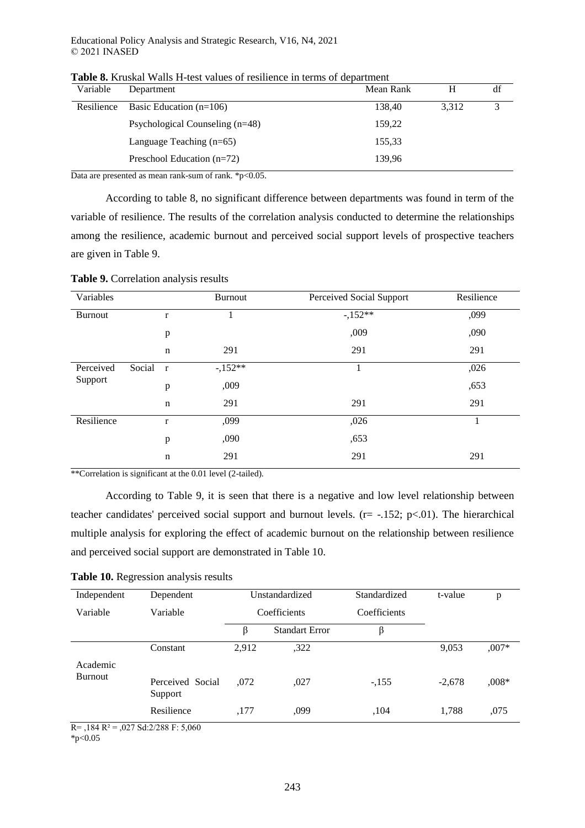| Department                        | Mean Rank | н     | df |
|-----------------------------------|-----------|-------|----|
| Basic Education $(n=106)$         | 138,40    | 3.312 | 3  |
| Psychological Counseling $(n=48)$ | 159,22    |       |    |
| Language Teaching $(n=65)$        | 155,33    |       |    |
| Preschool Education $(n=72)$      | 139.96    |       |    |
|                                   |           |       |    |

**Table 8.** Kruskal Walls H-test values of resilience in terms of department

Data are presented as mean rank-sum of rank. \*p<0.05.

According to table 8, no significant difference between departments was found in term of the variable of resilience. The results of the correlation analysis conducted to determine the relationships among the resilience, academic burnout and perceived social support levels of prospective teachers are given in Table 9.

| <b>Table 9.</b> Correlation analysis results |  |
|----------------------------------------------|--|
|----------------------------------------------|--|

| Variables      |        |              | <b>Burnout</b> | Perceived Social Support | Resilience |
|----------------|--------|--------------|----------------|--------------------------|------------|
| <b>Burnout</b> |        | r            | 1              | $-152**$                 | ,099       |
|                |        | p            |                | ,009                     | ,090       |
|                |        | $\mathbf n$  | 291            | 291                      | 291        |
| Perceived      | Social | $\mathbf{r}$ | $-152**$       |                          | ,026       |
| Support        |        | p            | ,009           |                          | ,653       |
|                |        | $\mathbf n$  | 291            | 291                      | 291        |
| Resilience     |        | $\mathbf r$  | ,099           | ,026                     | 1          |
|                |        | p            | ,090           | ,653                     |            |
|                |        | $\mathbf n$  | 291            | 291                      | 291        |

\*\*Correlation is significant at the 0.01 level (2-tailed).

According to Table 9, it is seen that there is a negative and low level relationship between teacher candidates' perceived social support and burnout levels. ( $r = -152$ ;  $p < .01$ ). The hierarchical multiple analysis for exploring the effect of academic burnout on the relationship between resilience and perceived social support are demonstrated in Table 10.

**Table 10.** Regression analysis results

| Independent           | Dependent                                                   | Unstandardized |                       | Standardized | t-value  | p       |
|-----------------------|-------------------------------------------------------------|----------------|-----------------------|--------------|----------|---------|
| Variable              | Variable                                                    | Coefficients   |                       | Coefficients |          |         |
|                       |                                                             | B              | <b>Standart Error</b> | β            |          |         |
|                       | Constant                                                    | 2,912          | ,322                  |              | 9,053    | $,007*$ |
| Academic<br>Burnout   | Perceived Social<br>Support                                 | .072           | ,027                  | $-155$       | $-2,678$ | $,008*$ |
| $\mathbf{r}$<br>101B2 | Resilience<br>$0.27 \times 1.2 \times 0.00$ $\Gamma$ $7.00$ | ,177           | ,099                  | ,104         | 1,788    | ,075    |

 $R = 184 R^2 = 0.027 Sd:2/288 F: 5,060$ 

 $*p<0.05$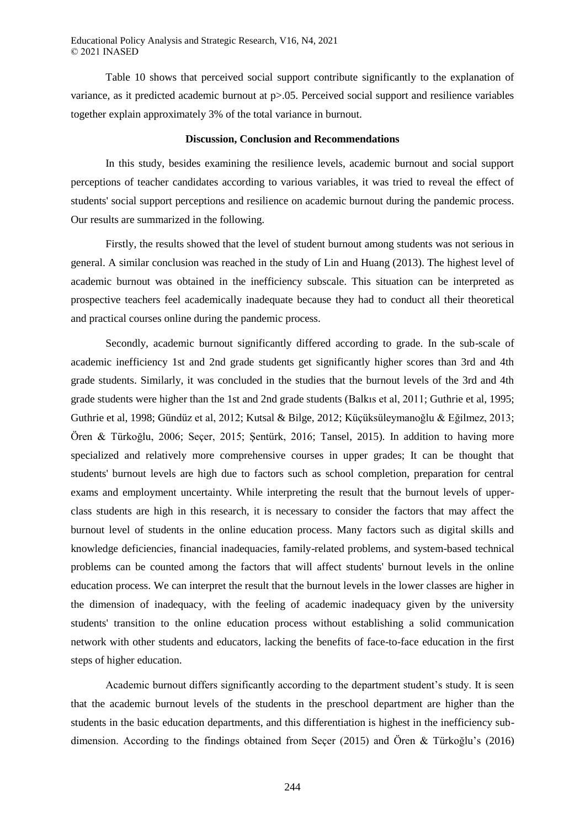Table 10 shows that perceived social support contribute significantly to the explanation of variance, as it predicted academic burnout at p>.05. Perceived social support and resilience variables together explain approximately 3% of the total variance in burnout.

#### **Discussion, Conclusion and Recommendations**

In this study, besides examining the resilience levels, academic burnout and social support perceptions of teacher candidates according to various variables, it was tried to reveal the effect of students' social support perceptions and resilience on academic burnout during the pandemic process. Our results are summarized in the following.

Firstly, the results showed that the level of student burnout among students was not serious in general. A similar conclusion was reached in the study of Lin and Huang [\(2013\)](#page-17-7). The highest level of academic burnout was obtained in the inefficiency subscale. This situation can be interpreted as prospective teachers feel academically inadequate because they had to conduct all their theoretical and practical courses online during the pandemic process.

Secondly, academic burnout significantly differed according to grade. In the sub-scale of academic inefficiency 1st and 2nd grade students get significantly higher scores than 3rd and 4th grade students. Similarly, it was concluded in the studies that the burnout levels of the 3rd and 4th grade students were higher than the 1st and 2nd grade students [\(Balkıs et al, 2011;](#page-13-2) [Guthrie et al, 1995;](#page-16-3) [Guthrie et al, 1998;](#page-16-4) [Gündüz et al, 2012;](#page-16-5) [Kutsal & Bilge, 2012;](#page-17-6) [Küçüksüleymanoğlu & Eğilmez, 2013;](#page-17-8) [Ören & Türkoğlu, 2006;](#page-17-5) [Seçer, 2015;](#page-18-4) [Şentürk, 2016;](#page-18-5) [Tansel, 2015\)](#page-19-6). In addition to having more specialized and relatively more comprehensive courses in upper grades; It can be thought that students' burnout levels are high due to factors such as school completion, preparation for central exams and employment uncertainty. While interpreting the result that the burnout levels of upperclass students are high in this research, it is necessary to consider the factors that may affect the burnout level of students in the online education process. Many factors such as digital skills and knowledge deficiencies, financial inadequacies, family-related problems, and system-based technical problems can be counted among the factors that will affect students' burnout levels in the online education process. We can interpret the result that the burnout levels in the lower classes are higher in the dimension of inadequacy, with the feeling of academic inadequacy given by the university students' transition to the online education process without establishing a solid communication network with other students and educators, lacking the benefits of face-to-face education in the first steps of higher education.

Academic burnout differs significantly according to the department student's study. It is seen that the academic burnout levels of the students in the preschool department are higher than the students in the basic education departments, and this differentiation is highest in the inefficiency subdimension. According to the findings obtained from Seçer [\(2015\)](#page-18-4) and Ören & Türkoğlu's [\(2016\)](#page-17-5)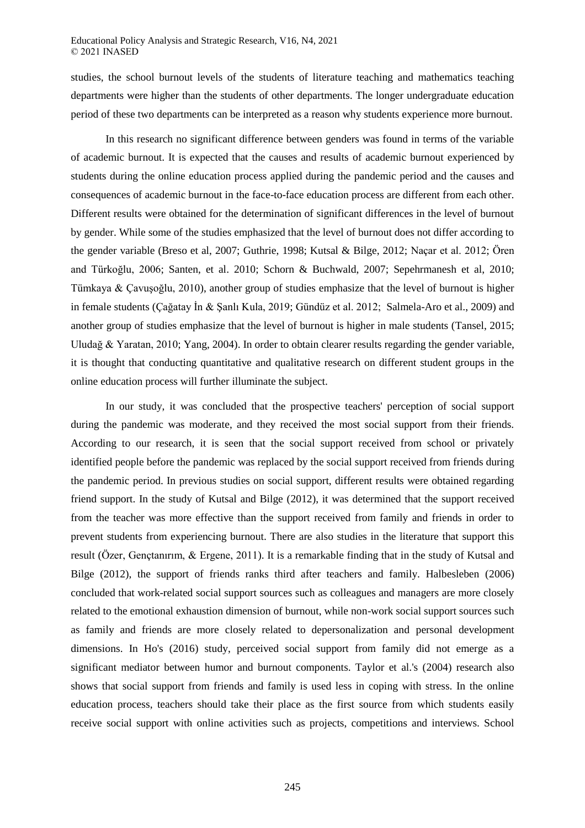studies, the school burnout levels of the students of literature teaching and mathematics teaching departments were higher than the students of other departments. The longer undergraduate education period of these two departments can be interpreted as a reason why students experience more burnout.

In this research no significant difference between genders was found in terms of the variable of academic burnout. It is expected that the causes and results of academic burnout experienced by students during the online education process applied during the pandemic period and the causes and consequences of academic burnout in the face-to-face education process are different from each other. Different results were obtained for the determination of significant differences in the level of burnout by gender. While some of the studies emphasized that the level of burnout does not differ according to the gender variable [\(Breso et al, 2007;](#page-14-5) [Guthrie, 1998;](#page-16-4) [Kutsal & Bilge, 2012;](#page-17-6) [Naçar et al. 2012;](#page-17-9) [Ören](#page-17-5)  [and Türkoğlu, 2006;](#page-17-5) [Santen, et al. 2010;](#page-18-6) [Schorn & Buchwald, 2007;](#page-2-0) [Sepehrmanesh et al, 2010;](#page-18-7) [Tümkaya & Çavuşoğlu, 2010\)](#page-19-7), another group of studies emphasize that the level of burnout is higher in female students [\(Çağatay İn & Şanlı Kula, 2019;](#page-15-6) [Gündüz et al. 2012;](#page-16-5) [Salmela-Aro et al., 2009\)](#page-18-8) and another group of studies emphasize that the level of burnout is higher in male students [\(Tansel, 2015;](#page-19-6) [Uludağ & Yaratan, 2010;](#page-19-8) [Yang, 2004\)](#page-19-3). In order to obtain clearer results regarding the gender variable, it is thought that conducting quantitative and qualitative research on different student groups in the online education process will further illuminate the subject.

In our study, it was concluded that the prospective teachers' perception of social support during the pandemic was moderate, and they received the most social support from their friends. According to our research, it is seen that the social support received from school or privately identified people before the pandemic was replaced by the social support received from friends during the pandemic period. In previous studies on social support, different results were obtained regarding friend support. In the study of Kutsal and Bilge [\(2012\)](#page-17-6), it was determined that the support received from the teacher was more effective than the support received from family and friends in order to prevent students from experiencing burnout. There are also studies in the literature that support this result [\(Özer, Gençtanırım, & Ergene, 2011\)](#page-17-10). It is a remarkable finding that in the study of Kutsal and Bilge [\(2012\)](#page-17-6), the support of friends ranks third after teachers and family. Halbesleben [\(2006\)](#page-16-6) concluded that work-related social support sources such as colleagues and managers are more closely related to the emotional exhaustion dimension of burnout, while non-work social support sources such as family and friends are more closely related to depersonalization and personal development dimensions. In Ho's [\(2016\)](#page-16-7) study, perceived social support from family did not emerge as a significant mediator between humor and burnout components. Taylor et al.'s [\(2004\)](#page-19-9) research also shows that social support from friends and family is used less in coping with stress. In the online education process, teachers should take their place as the first source from which students easily receive social support with online activities such as projects, competitions and interviews. School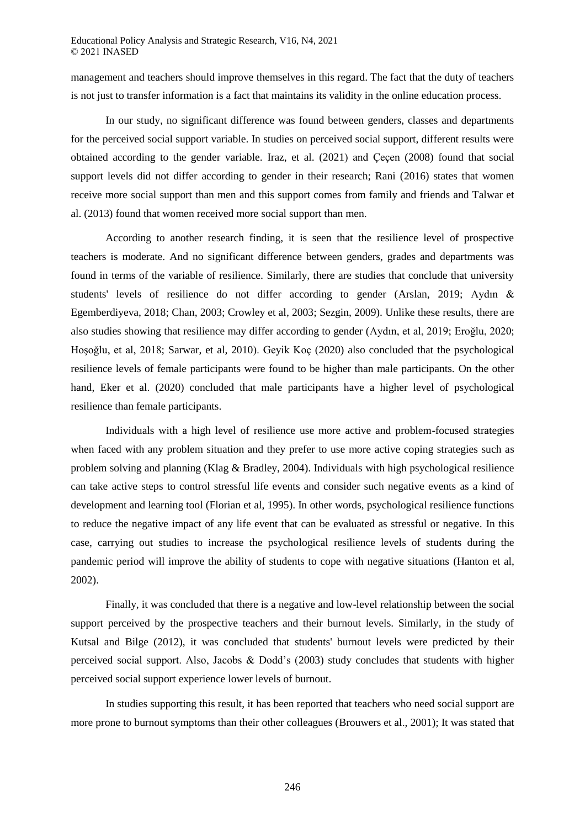management and teachers should improve themselves in this regard. The fact that the duty of teachers is not just to transfer information is a fact that maintains its validity in the online education process.

In our study, no significant difference was found between genders, classes and departments for the perceived social support variable. In studies on perceived social support, different results were obtained according to the gender variable. Iraz, et al. [\(2021\)](#page-16-8) and Çeçen [\(2008\)](#page-15-7) found that social support levels did not differ according to gender in their research; Rani [\(2016\)](#page-17-11) states that women receive more social support than men and this support comes from family and friends and Talwar et al. [\(2013\)](#page-19-10) found that women received more social support than men.

According to another research finding, it is seen that the resilience level of prospective teachers is moderate. And no significant difference between genders, grades and departments was found in terms of the variable of resilience. Similarly, there are studies that conclude that university students' levels of resilience do not differ according to gender [\(Arslan, 2019;](#page-13-3) [Aydın &](#page-13-4)  [Egemberdiyeva, 2018;](#page-13-4) [Chan, 2003;](#page-14-6) [Crowley et al, 2003;](#page-15-0) [Sezgin, 2009\)](#page-18-9). Unlike these results, there are also studies showing that resilience may differ according to gender [\(Aydın, et al, 2019;](#page-13-5) [Eroğlu, 2020;](#page-15-8) [Hoşoğlu, et al, 2018;](#page-16-9) [Sarwar, et al, 2010\)](#page-18-10). Geyik Koç [\(2020\)](#page-16-10) also concluded that the psychological resilience levels of female participants were found to be higher than male participants. On the other hand, Eker et al. [\(2020\)](#page-15-9) concluded that male participants have a higher level of psychological resilience than female participants.

Individuals with a high level of resilience use more active and problem-focused strategies when faced with any problem situation and they prefer to use more active coping strategies such as problem solving and planning [\(Klag & Bradley, 2004\)](#page-17-12). Individuals with high psychological resilience can take active steps to control stressful life events and consider such negative events as a kind of development and learning tool [\(Florian et al, 1995\)](#page-15-10). In other words, psychological resilience functions to reduce the negative impact of any life event that can be evaluated as stressful or negative. In this case, carrying out studies to increase the psychological resilience levels of students during the pandemic period will improve the ability of students to cope with negative situations [\(Hanton et al,](#page-16-11)  [2002\)](#page-16-11).

Finally, it was concluded that there is a negative and low-level relationship between the social support perceived by the prospective teachers and their burnout levels. Similarly, in the study of Kutsal and Bilge [\(2012\)](#page-17-6), it was concluded that students' burnout levels were predicted by their perceived social support. Also, Jacobs & Dodd's [\(2003\)](#page-16-12) study concludes that students with higher perceived social support experience lower levels of burnout.

In studies supporting this result, it has been reported that teachers who need social support are more prone to burnout symptoms than their other colleagues [\(Brouwers et al., 2001\)](#page-14-7); It was stated that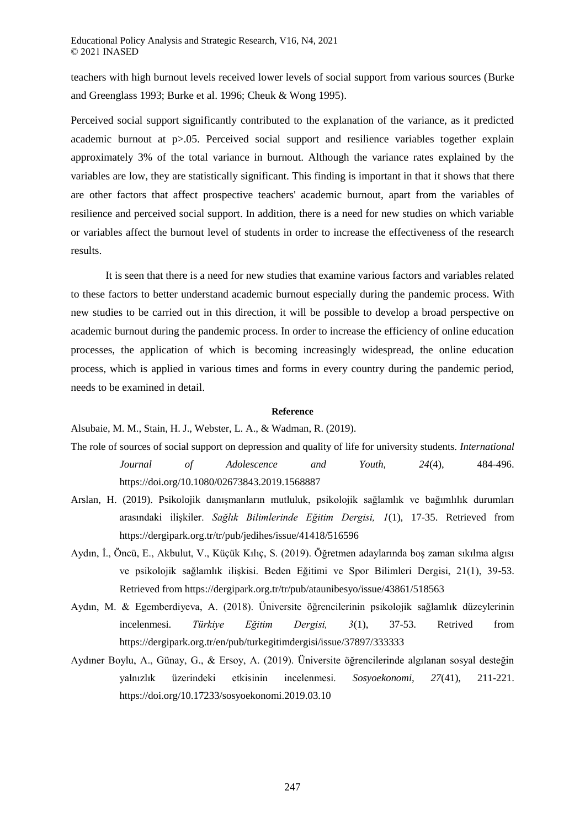teachers with high burnout levels received lower levels of social support from various sources [\(Burke](#page-14-8)  [and Greenglass 1993](#page-14-8)[; Burke et al. 1996;](#page-14-9) [Cheuk & Wong 1995\)](#page-14-10).

Perceived social support significantly contributed to the explanation of the variance, as it predicted academic burnout at p>.05. Perceived social support and resilience variables together explain approximately 3% of the total variance in burnout. Although the variance rates explained by the variables are low, they are statistically significant. This finding is important in that it shows that there are other factors that affect prospective teachers' academic burnout, apart from the variables of resilience and perceived social support. In addition, there is a need for new studies on which variable or variables affect the burnout level of students in order to increase the effectiveness of the research results.

It is seen that there is a need for new studies that examine various factors and variables related to these factors to better understand academic burnout especially during the pandemic process. With new studies to be carried out in this direction, it will be possible to develop a broad perspective on academic burnout during the pandemic process. In order to increase the efficiency of online education processes, the application of which is becoming increasingly widespread, the online education process, which is applied in various times and forms in every country during the pandemic period, needs to be examined in detail.

#### **Reference**

<span id="page-13-0"></span>Alsubaie, M. M., Stain, H. J., Webster, L. A., & Wadman, R. (2019).

- The role of sources of social support on depression and quality of life for university students. *International Journal of Adolescence and Youth, 24*(4), 484-496. https://doi.org/10.1080/02673843.2019.1568887
- <span id="page-13-3"></span>Arslan, H. (2019). Psikolojik danışmanların mutluluk, psikolojik sağlamlık ve bağımlılık durumları arasındaki ilişkiler. *Sağlık Bilimlerinde Eğitim Dergisi, 1*(1), 17-35. Retrieved from https://dergipark.org.tr/tr/pub/jedihes/issue/41418/516596
- <span id="page-13-5"></span>Aydın, İ., Öncü, E., Akbulut, V., Küçük Kılıç, S. (2019). Öğretmen adaylarında boş zaman sıkılma algısı ve psikolojik sağlamlık ilişkisi. Beden Eğitimi ve Spor Bilimleri Dergisi, 21(1), 39-53. Retrieved from<https://dergipark.org.tr/tr/pub/ataunibesyo/issue/43861/518563>
- <span id="page-13-4"></span>Aydın, M. & Egemberdiyeva, A. (2018). Üniversite öğrencilerinin psikolojik sağlamlık düzeylerinin incelenmesi. *Türkiye Eğitim Dergisi, 3*(1), 37-53. Retrived from https://dergipark.org.tr/en/pub/turkegitimdergisi/issue/37897/333333
- <span id="page-13-2"></span><span id="page-13-1"></span>Aydıner Boylu, A., Günay, G., & Ersoy, A. (2019). Üniversite öğrencilerinde algılanan sosyal desteğin yalnızlık üzerindeki etkisinin incelenmesi. *Sosyoekonomi, 27*(41), 211-221. https://doi.org/10.17233/sosyoekonomi.2019.03.10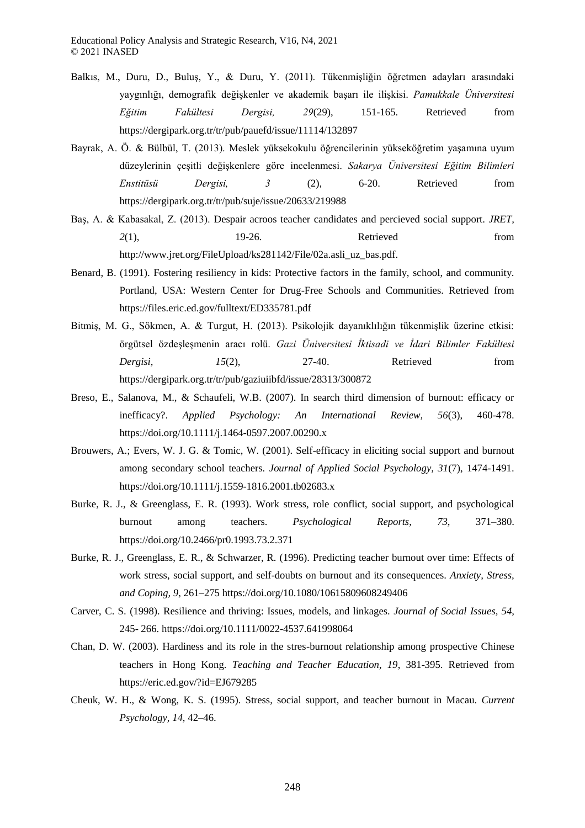- Balkıs, M., Duru, D., Buluş, Y., & Duru, Y. (2011). Tükenmişliğin öğretmen adayları arasındaki yaygınlığı, demografik değişkenler ve akademik başarı ile ilişkisi. *Pamukkale Üniversitesi Eğitim Fakültesi Dergisi, 29*(29), 151-165. Retrieved from https://dergipark.org.tr/tr/pub/pauefd/issue/11114/132897
- <span id="page-14-3"></span>Bayrak, A. Ö. & Bülbül, T. (2013). Meslek yüksekokulu öğrencilerinin yükseköğretim yaşamına uyum düzeylerinin çeşitli değişkenlere göre incelenmesi. *Sakarya Üniversitesi Eğitim Bilimleri Enstitüsü Dergisi, 3* (2), 6-20. Retrieved from <https://dergipark.org.tr/tr/pub/suje/issue/20633/219988>
- <span id="page-14-4"></span>Baş, A. & Kabasakal, Z. (2013). Despair acroos teacher candidates and percieved social support. *JRET, 2*(1), 19-26. Retrieved from [http://www.jret.org/FileUpload/ks281142/File/02a.asli\\_uz\\_bas.pdf.](http://www.jret.org/FileUpload/ks281142/File/02a.asli_uz_bas.pdf)
- <span id="page-14-1"></span>Benard, B. (1991). Fostering resiliency in kids: Protective factors in the family, school, and community. Portland, USA: Western Center for Drug-Free Schools and Communities. Retrieved from <https://files.eric.ed.gov/fulltext/ED335781.pdf>
- <span id="page-14-2"></span>Bitmiş, M. G., Sökmen, A. & Turgut, H. (2013). Psikolojik dayanıklılığın tükenmişlik üzerine etkisi: örgütsel özdeşleşmenin aracı rolü. *Gazi Üniversitesi İktisadi ve İdari Bilimler Fakültesi Dergisi,* 15(2), 27-40. Retrieved from <https://dergipark.org.tr/tr/pub/gaziuiibfd/issue/28313/300872>
- <span id="page-14-5"></span>Breso, E., Salanova, M., & Schaufeli, W.B. (2007). In search third dimension of burnout: efficacy or inefficacy?. *Applied Psychology: An International Review, 56*(3), 460-478. <https://doi.org/10.1111/j.1464-0597.2007.00290.x>
- <span id="page-14-7"></span>Brouwers, A.; Evers, W. J. G. & Tomic, W. (2001). Self-efficacy in eliciting social support and burnout among secondary school teachers. *Journal of Applied Social Psychology, 31*(7), 1474-1491. https://doi.org/10.1111/j.1559-1816.2001.tb02683.x
- <span id="page-14-8"></span><span id="page-14-0"></span>Burke, R. J., & Greenglass, E. R. (1993). Work stress, role conflict, social support, and psychological burnout among teachers. *Psychological Reports, 73,* 371–380. https://doi.org/10.2466/pr0.1993.73.2.371
- <span id="page-14-9"></span>Burke, R. J., Greenglass, E. R., & Schwarzer, R. (1996). Predicting teacher burnout over time: Effects of work stress, social support, and self-doubts on burnout and its consequences. *Anxiety, Stress, and Coping, 9,* 261–275 https://doi.org/10.1080/10615809608249406
- Carver, C. S. (1998). Resilience and thriving: Issues, models, and linkages. *Journal of Social Issues, 54,* 245- 266. https://doi.org/10.1111/0022-4537.641998064
- <span id="page-14-6"></span>Chan, D. W. (2003). Hardiness and its role in the stres-burnout relationship among prospective Chinese teachers in Hong Kong. *Teaching and Teacher Education, 19*, 381-395. Retrieved from <https://eric.ed.gov/?id=EJ679285>
- <span id="page-14-10"></span>Cheuk, W. H., & Wong, K. S. (1995). Stress, social support, and teacher burnout in Macau. *Current Psychology, 14,* 42–46.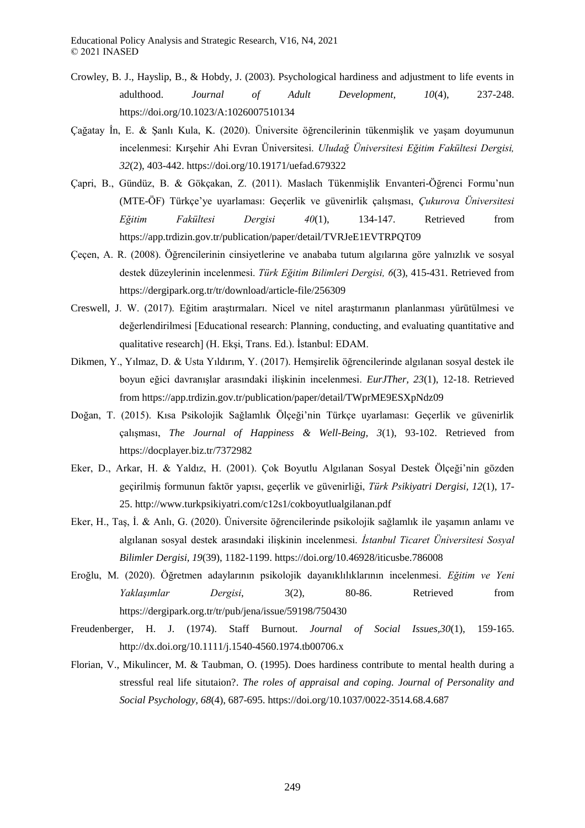- <span id="page-15-0"></span>Crowley, B. J., Hayslip, B., & Hobdy, J. (2003). Psychological hardiness and adjustment to life events in adulthood. *Journal of Adult Development, 10*(4), 237-248. <https://doi.org/10.1023/A:1026007510134>
- <span id="page-15-6"></span>Çağatay İn, E. & Şanlı Kula, K. (2020). Üniversite öğrencilerinin tükenmişlik ve yaşam doyumunun incelenmesi: Kırşehir Ahi Evran Üniversitesi. *Uludağ Üniversitesi Eğitim Fakültesi Dergisi, 32*(2), 403-442.<https://doi.org/10.19171/uefad.679322>
- <span id="page-15-5"></span>Çapri, B., Gündüz, B. & Gökçakan, Z. (2011). Maslach Tükenmişlik Envanteri-Öğrenci Formu'nun (MTE-ÖF) Türkçe'ye uyarlaması: Geçerlik ve güvenirlik çalışması, *Çukurova Üniversitesi Eğitim Fakültesi Dergisi 40*(1), 134-147. Retrieved from <https://app.trdizin.gov.tr/publication/paper/detail/TVRJeE1EVTRPQT09>
- <span id="page-15-7"></span>Çeçen, A. R. (2008). Öğrencilerinin cinsiyetlerine ve anababa tutum algılarına göre yalnızlık ve sosyal destek düzeylerinin incelenmesi. *Türk Eğitim Bilimleri Dergisi, 6*(3), 415-431. Retrieved from <https://dergipark.org.tr/tr/download/article-file/256309>
- <span id="page-15-3"></span>Creswell, J. W. (2017). Eğitim araştırmaları. Nicel ve nitel araştırmanın planlanması yürütülmesi ve değerlendirilmesi [Educational research: Planning, conducting, and evaluating quantitative and qualitative research] (H. Ekşi, Trans. Ed.). İstanbul: EDAM.
- <span id="page-15-1"></span>Dikmen, Y., Yılmaz, D. & Usta Yıldırım, Y. (2017). Hemşirelik öğrencilerinde algılanan sosyal destek ile boyun eğici davranışlar arasındaki ilişkinin incelenmesi. *EurJTher, 23*(1), 12-18. Retrieved fro[m https://app.trdizin.gov.tr/publication/paper/detail/TWprME9ESXpNdz09](https://app.trdizin.gov.tr/publication/paper/detail/TWprME9ESXpNdz09)
- Doğan, T. (2015). Kısa Psikolojik Sağlamlık Ölçeği'nin Türkçe uyarlaması: Geçerlik ve güvenirlik çalışması, *The Journal of Happiness & Well-Being, 3*(1), 93-102. Retrieved from <https://docplayer.biz.tr/7372982>
- <span id="page-15-4"></span>Eker, D., Arkar, H. & Yaldız, H. (2001). Çok Boyutlu Algılanan Sosyal Destek Ölçeği'nin gözden geçirilmiş formunun faktör yapısı, geçerlik ve güvenirliği, *Türk Psikiyatri Dergisi, 12*(1), 17- 25.<http://www.turkpsikiyatri.com/c12s1/cokboyutlualgilanan.pdf>
- <span id="page-15-9"></span>Eker, H., Taş, İ. & Anlı, G. (2020). Üniversite öğrencilerinde psikolojik sağlamlık ile yaşamın anlamı ve algılanan sosyal destek arasındaki ilişkinin incelenmesi. *İstanbul Ticaret Üniversitesi Sosyal Bilimler Dergisi, 19*(39), 1182-1199.<https://doi.org/10.46928/iticusbe.786008>
- <span id="page-15-8"></span>Eroğlu, M. (2020). Öğretmen adaylarının psikolojik dayanıklılıklarının incelenmesi. *Eğitim ve Yeni Yaklaşımlar Dergisi*, 3(2), 80-86. Retrieved from <https://dergipark.org.tr/tr/pub/jena/issue/59198/750430>
- <span id="page-15-2"></span>Freudenberger, H. J. (1974). Staff Burnout. *Journal of Social Issues,30*(1), 159-165. http://dx.doi.org/10.1111/j.1540-4560.1974.tb00706.x
- <span id="page-15-10"></span>Florian, V., Mikulincer, M. & Taubman, O. (1995). Does hardiness contribute to mental health during a stressful real life situtaion?. *The roles of appraisal and coping. Journal of Personality and Social Psychology, 68*(4), 687-695.<https://doi.org/10.1037/0022-3514.68.4.687>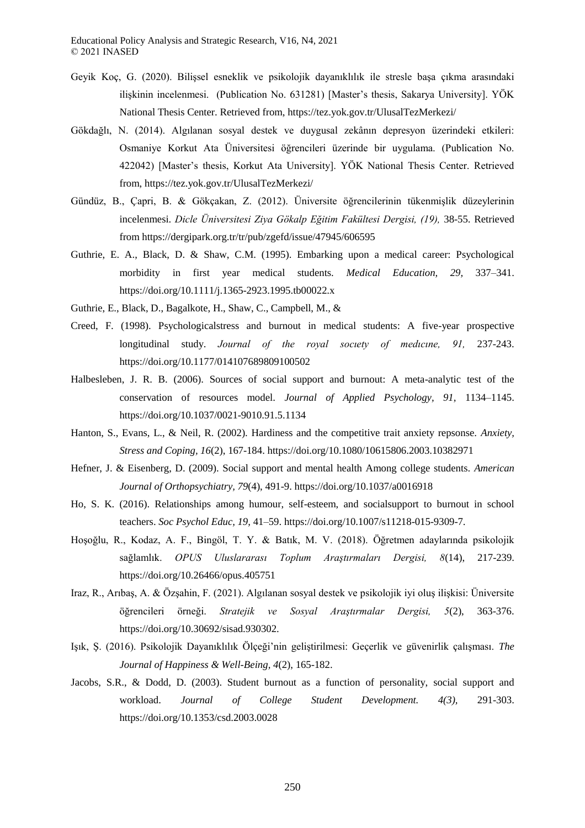- <span id="page-16-10"></span>Geyik Koç, G. (2020). Bilişsel esneklik ve psikolojik dayanıklılık ile stresle başa çıkma arasındaki ilişkinin incelenmesi. (Publication No. 631281) [Master's thesis, Sakarya University]. YÖK National Thesis Center. Retrieved from, <https://tez.yok.gov.tr/UlusalTezMerkezi/>
- <span id="page-16-1"></span>Gökdağlı, N. (2014). Algılanan sosyal destek ve duygusal zekânın depresyon üzerindeki etkileri: Osmaniye Korkut Ata Üniversitesi öğrencileri üzerinde bir uygulama. (Publication No. 422042) [Master's thesis, Korkut Ata University]. YÖK National Thesis Center. Retrieved from,<https://tez.yok.gov.tr/UlusalTezMerkezi/>
- <span id="page-16-5"></span>Gündüz, B., Çapri, B. & Gökçakan, Z. (2012). Üniversite öğrencilerinin tükenmişlik düzeylerinin incelenmesi. *Dicle Üniversitesi Ziya Gökalp Eğitim Fakültesi Dergisi, (19),* 38-55. Retrieved fro[m https://dergipark.org.tr/tr/pub/zgefd/issue/47945/606595](https://dergipark.org.tr/tr/pub/zgefd/issue/47945/606595)
- <span id="page-16-3"></span>Guthrie, E. A., Black, D. & Shaw, C.M. (1995). Embarking upon a medical career: Psychological morbidity in first year medical students. *Medical Education, 29,* 337–341. <https://doi.org/10.1111/j.1365-2923.1995.tb00022.x>
- <span id="page-16-4"></span>Guthrie, E., Black, D., Bagalkote, H., Shaw, C., Campbell, M., &
- Creed, F. (1998). Psychologicalstress and burnout in medical students: A five-year prospective longitudinal study. *Journal of the royal socıety of medıcıne, 91,* 237-243. <https://doi.org/10.1177/014107689809100502>
- <span id="page-16-6"></span>Halbesleben, J. R. B. (2006). Sources of social support and burnout: A meta-analytic test of the conservation of resources model. *Journal of Applied Psychology, 91,* 1134–1145. https://doi.org/10.1037/0021-9010.91.5.1134
- <span id="page-16-11"></span>Hanton, S., Evans, L., & Neil, R. (2002). Hardiness and the competitive trait anxiety repsonse. *Anxiety, Stress and Coping, 16*(2), 167-184. https://doi.org/10.1080/10615806.2003.10382971
- <span id="page-16-2"></span>Hefner, J. & Eisenberg, D. (2009). Social support and mental health Among college students. *American Journal of Orthopsychiatry, 79*(4), 491-9.<https://doi.org/10.1037/a0016918>
- <span id="page-16-7"></span>Ho, S. K. (2016). Relationships among humour, self-esteem, and socialsupport to burnout in school teachers. *Soc Psychol Educ, 19,* 41–59. https://doi.org/10.1007/s11218-015-9309-7.
- <span id="page-16-9"></span>Hoşoğlu, R., Kodaz, A. F., Bingöl, T. Y. & Batık, M. V. (2018). Öğretmen adaylarında psikolojik sağlamlık. *OPUS Uluslararası Toplum Araştırmaları Dergisi, 8*(14), 217-239. <https://doi.org/10.26466/opus.405751>
- <span id="page-16-8"></span>Iraz, R., Arıbaş, A. & Özşahin, F. (2021). Algılanan sosyal destek ve psikolojik iyi oluş ilişkisi: Üniversite öğrencileri örneği. *Stratejik ve Sosyal Araştırmalar Dergisi, 5*(2), 363-376. [https://doi.org/10.30692/sisad.930302.](https://doi.org/10.30692/sisad.930302)
- <span id="page-16-0"></span>Işık, Ş. (2016). Psikolojik Dayanıklılık Ölçeği'nin geliştirilmesi: Geçerlik ve güvenirlik çalışması. *The Journal of Happiness & Well-Being, 4*(2), 165-182.
- <span id="page-16-12"></span>Jacobs, S.R., & Dodd, D. (2003). Student burnout as a function of personality, social support and workload. *Journal of College Student Development. 4(3),* 291-303. https://doi.org/10.1353/csd.2003.0028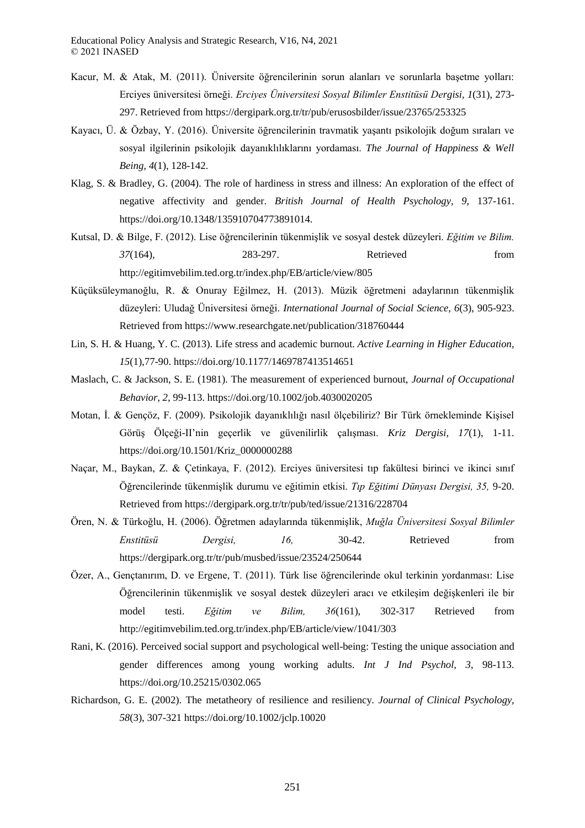- <span id="page-17-3"></span>Kacur, M. & Atak, M. (2011). Üniversite öğrencilerinin sorun alanları ve sorunlarla başetme yolları: Erciyes üniversitesi örneği. *Erciyes Üniversitesi Sosyal Bilimler Enstitüsü Dergisi, 1*(31), 273- 297. Retrieved from<https://dergipark.org.tr/tr/pub/erusosbilder/issue/23765/253325>
- <span id="page-17-2"></span>Kayacı, Ü. & Özbay, Y. (2016). Üniversite öğrencilerinin travmatik yaşantı psikolojik doğum sıraları ve sosyal ilgilerinin psikolojik dayanıklılıklarını yordaması. *The Journal of Happiness & Well Being, 4*(1), 128-142.
- <span id="page-17-12"></span>Klag, S. & Bradley, G. (2004). The role of hardiness in stress and illness: An exploration of the effect of negative affectivity and gender. *British Journal of Health Psychology, 9,* 137-161. [https://doi.org/10.1348/135910704773891014.](https://doi.org/10.1348/135910704773891014)
- <span id="page-17-6"></span>Kutsal, D. & Bilge, F. (2012). Lise öğrencilerinin tükenmişlik ve sosyal destek düzeyleri. *Eğitim ve Bilim. 37*(164), 283-297. Retrieved from <http://egitimvebilim.ted.org.tr/index.php/EB/article/view/805>
- <span id="page-17-8"></span>Küçüksüleymanoğlu, R. & Onuray Eğilmez, H. (2013). Müzik öğretmeni adaylarının tükenmişlik düzeyleri: Uludağ Üniversitesi örneği. *International Journal of Social Science, 6*(3), 905-923. Retrieved from<https://www.researchgate.net/publication/318760444>
- <span id="page-17-7"></span>Lin, S. H. & Huang, Y. C. (2013). Life stress and academic burnout. *Active Learning in Higher Education, 15*(1),77-90. https://doi.org/10.1177/1469787413514651
- <span id="page-17-4"></span><span id="page-17-1"></span>Maslach, C. & Jackson, S. E. (1981). The measurement of experienced burnout, *Journal of Occupational Behavior, 2*, 99-113.<https://doi.org/10.1002/job.4030020205>
- Motan, İ. & Gençöz, F. (2009). Psikolojik dayanıklılığı nasıl ölçebiliriz? Bir Türk örnekleminde Kişisel Görüş Ölçeği-II'nin geçerlik ve güvenilirlik çalışması. *Kriz Dergisi, 17*(1), 1-11. [https://doi.org/10.1501/Kriz\\_0000000288](https://doi.org/10.1501/Kriz_0000000288)
- <span id="page-17-9"></span>Naçar, M., Baykan, Z. & Çetinkaya, F. (2012). Erciyes üniversitesi tıp fakültesi birinci ve ikinci sınıf Öğrencilerinde tükenmişlik durumu ve eğitimin etkisi. *Tıp Eğitimi Dünyası Dergisi, 35,* 9-20. Retrieved from<https://dergipark.org.tr/tr/pub/ted/issue/21316/228704>
- <span id="page-17-5"></span>Ören, N. & Türkoğlu, H. (2006). Öğretmen adaylarında tükenmişlik, *Muğla Üniversitesi Sosyal Bilimler Enstitüsü Dergisi, 16,* 30-42. Retrieved from <https://dergipark.org.tr/tr/pub/musbed/issue/23524/250644>
- <span id="page-17-10"></span>Özer, A., Gençtanırım, D. ve Ergene, T. (2011). Türk lise öğrencilerinde okul terkinin yordanması: Lise Öğrencilerinin tükenmişlik ve sosyal destek düzeyleri aracı ve etkileşim değişkenleri ile bir model testi. *Eğitim ve Bilim, 36*(161), 302-317 Retrieved from http://egitimvebilim.ted.org.tr/index.php/EB/article/view/1041/303
- <span id="page-17-11"></span>Rani, K. (2016). Perceived social support and psychological well-being: Testing the unique association and gender differences among young working adults. *Int J Ind Psychol, 3*, 98-113. <https://doi.org/10.25215/0302.065>
- <span id="page-17-0"></span>Richardson, G. E. (2002). The metatheory of resilience and resiliency. *Journal of Clinical Psychology, 58*(3), 307-321 https://doi.org/10.1002/jclp.10020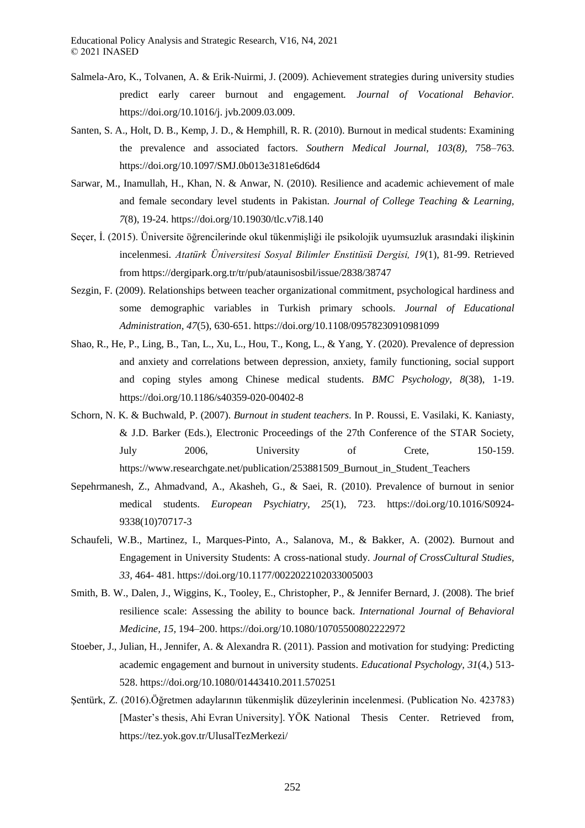- <span id="page-18-8"></span>Salmela-Aro, K., Tolvanen, A. & Erik-Nuirmi, J. (2009). Achievement strategies during university studies predict early career burnout and engagement*. Journal of Vocational Behavior.* [https://doi.org/10.1016/j. jvb.2009.03.009.](https://doi.org/10.1016/j.%20jvb.2009.03.009)
- <span id="page-18-6"></span>Santen, S. A., Holt, D. B., Kemp, J. D., & Hemphill, R. R. (2010). Burnout in medical students: Examining the prevalence and associated factors. *Southern Medical Journal, 103(8),* 758–763. https://doi.org/10.1097/SMJ.0b013e3181e6d6d4
- <span id="page-18-10"></span>Sarwar, M., Inamullah, H., Khan, N. & Anwar, N. (2010). Resilience and academic achievement of male and female secondary level students in Pakistan. *Journal of College Teaching & Learning, 7*(8), 19-24.<https://doi.org/10.19030/tlc.v7i8.140>
- <span id="page-18-4"></span>Seçer, İ. (2015). Üniversite öğrencilerinde okul tükenmişliği ile psikolojik uyumsuzluk arasındaki ilişkinin incelenmesi. *Atatürk Üniversitesi Sosyal Bilimler Enstitüsü Dergisi, 19*(1), 81-99. Retrieved fro[m https://dergipark.org.tr/tr/pub/ataunisosbil/issue/2838/38747](https://dergipark.org.tr/tr/pub/ataunisosbil/issue/2838/38747)
- <span id="page-18-9"></span>Sezgin, F. (2009). Relationships between teacher organizational commitment, psychological hardiness and some demographic variables in Turkish primary schools. *Journal of Educational Administration, 47*(5), 630-651.<https://doi.org/10.1108/09578230910981099>
- <span id="page-18-1"></span>Shao, R., He, P., Ling, B., Tan, L., Xu, L., Hou, T., Kong, L., & Yang, Y. (2020). Prevalence of depression and anxiety and correlations between depression, anxiety, family functioning, social support and coping styles among Chinese medical students. *BMC Psychology, 8*(38), 1-19. <https://doi.org/10.1186/s40359-020-00402-8>
- Schorn, N. K. & Buchwald, P. (2007). *Burnout in student teachers*. In P. Roussi, E. Vasilaki, K. Kaniasty, & J.D. Barker (Eds.), Electronic Proceedings of the 27th Conference of the STAR Society, July 2006, University of Crete, 150-159. [https://www.researchgate.net/publication/253881509\\_Burnout\\_in\\_Student\\_Teachers](https://www.researchgate.net/publication/253881509_Burnout_in_Student_Teachers)
- <span id="page-18-7"></span>Sepehrmanesh, Z., Ahmadvand, A., Akasheh, G., & Saei, R. (2010). Prevalence of burnout in senior medical students. *European Psychiatry, 25*(1), 723. [https://doi.org/10.1016/S0924-](https://doi.org/10.1016/S0924-9338(10)70717-3) [9338\(10\)70717-3](https://doi.org/10.1016/S0924-9338(10)70717-3)
- <span id="page-18-2"></span>Schaufeli, W.B., Martinez, I., Marques-Pinto, A., Salanova, M., & Bakker, A. (2002). Burnout and Engagement in University Students: A cross-national study. *Journal of CrossCultural Studies, 33,* 464- 481.<https://doi.org/10.1177/0022022102033005003>
- <span id="page-18-0"></span>Smith, B. W., Dalen, J., Wiggins, K., Tooley, E., Christopher, P., & Jennifer Bernard, J. (2008). The brief resilience scale: Assessing the ability to bounce back. *International Journal of Behavioral Medicine, 15,* 194–200[. https://doi.org/10.1080/10705500802222972](https://doi.org/10.1080/10705500802222972)
- <span id="page-18-3"></span>Stoeber, J., Julian, H., Jennifer, A. & Alexandra R. (2011). Passion and motivation for studying: Predicting academic engagement and burnout in university students. *Educational Psychology, 31*(4,) 513- 528[. https://doi.org/10.1080/01443410.2011.570251](https://doi.org/10.1080/01443410.2011.570251)
- <span id="page-18-5"></span>Şentürk, Z. (2016).Öğretmen adaylarının tükenmişlik düzeylerinin incelenmesi. (Publication No. 423783) [Master's thesis, Ahi Evran University]. YÖK National Thesis Center. Retrieved from, <https://tez.yok.gov.tr/UlusalTezMerkezi/>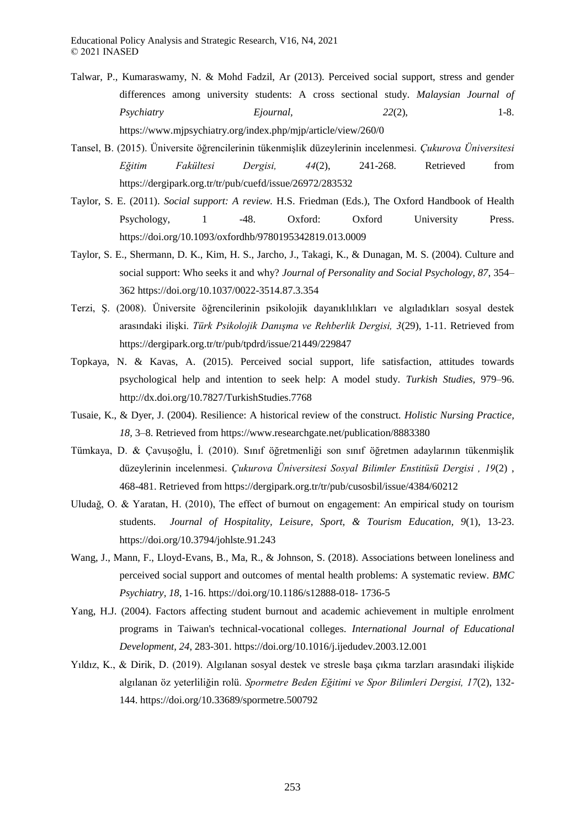- <span id="page-19-10"></span>Talwar, P., Kumaraswamy, N. & Mohd Fadzil, Ar (2013). Perceived social support, stress and gender differences among university students: A cross sectional study. *Malaysian Journal of Psychiatry Ejournal, 22*(2), 1-8. [https://www.mjpsychiatry.org/index.php/mjp/article/view/260/0](https://www.mjpsychiatry.org/index.php/mjp/article/view/260/)
- <span id="page-19-6"></span>Tansel, B. (2015). Üniversite öğrencilerinin tükenmişlik düzeylerinin incelenmesi. *Çukurova Üniversitesi Eğitim Fakültesi Dergisi, 44*(2), 241-268. Retrieved from https://dergipark.org.tr/tr/pub/cuefd/issue/26972/283532
- <span id="page-19-4"></span>Taylor, S. E. (2011). *Social support: A review.* H.S. Friedman (Eds.), The Oxford Handbook of Health Psychology, 1 -48. Oxford: Oxford University Press. <https://doi.org/10.1093/oxfordhb/9780195342819.013.0009>
- <span id="page-19-9"></span>Taylor, S. E., Shermann, D. K., Kim, H. S., Jarcho, J., Takagi, K., & Dunagan, M. S. (2004). Culture and social support: Who seeks it and why? *Journal of Personality and Social Psychology, 87*, 354– 362 https://doi.org/10.1037/0022-3514.87.3.354
- <span id="page-19-1"></span>Terzi, Ş. (2008). Üniversite öğrencilerinin psikolojik dayanıklılıkları ve algıladıkları sosyal destek arasındaki ilişki. *Türk Psikolojik Danışma ve Rehberlik Dergisi, 3*(29), 1-11. Retrieved from <https://dergipark.org.tr/tr/pub/tpdrd/issue/21449/229847>
- <span id="page-19-2"></span>Topkaya, N. & Kavas, A. (2015). Perceived social support, life satisfaction, attitudes towards psychological help and intention to seek help: A model study. *Turkish Studies,* 979–96. <http://dx.doi.org/10.7827/TurkishStudies.7768>
- <span id="page-19-0"></span>Tusaie, K., & Dyer, J. (2004). Resilience: A historical review of the construct. *Holistic Nursing Practice, 18,* 3–8. Retrieved from https://www.researchgate.net/publication/8883380
- <span id="page-19-7"></span>Tümkaya, D. & Çavuşoğlu, İ. (2010). Sınıf öğretmenliği son sınıf öğretmen adaylarının tükenmişlik düzeylerinin incelenmesi. *Çukurova Üniversitesi Sosyal Bilimler Enstitüsü Dergisi , 19*(2) , 468-481. Retrieved from<https://dergipark.org.tr/tr/pub/cusosbil/issue/4384/60212>
- <span id="page-19-8"></span>Uludağ, O. & Yaratan, H. (2010), The effect of burnout on engagement: An empirical study on tourism students. *Journal of Hospitality, Leisure, Sport, & Tourism Education, 9*(1), 13-23. <https://doi.org/10.3794/johlste.91.243>
- <span id="page-19-5"></span>Wang, J., Mann, F., Lloyd-Evans, B., Ma, R., & Johnson, S. (2018). Associations between loneliness and perceived social support and outcomes of mental health problems: A systematic review. *BMC Psychiatry, 18*, 1-16. [https://doi.org/10.1186/s12888-018-](https://doi.org/10.1186/s12888-018-%201736-5) 1736-5
- <span id="page-19-3"></span>Yang, H.J. (2004). Factors affecting student burnout and academic achievement in multiple enrolment programs in Taiwan's technical-vocational colleges. *International Journal of Educational Development, 24*, 283-301. https://doi.org/10.1016/j.ijedudev.2003.12.001
- Yıldız, K., & Dirik, D. (2019). Algılanan sosyal destek ve stresle başa çıkma tarzları arasındaki ilişkide algılanan öz yeterliliğin rolü. *Spormetre Beden Eğitimi ve Spor Bilimleri Dergisi, 17*(2), 132- 144[. https://doi.org/10.33689/spormetre.500792](https://doi.org/10.33689/spormetre.500792)